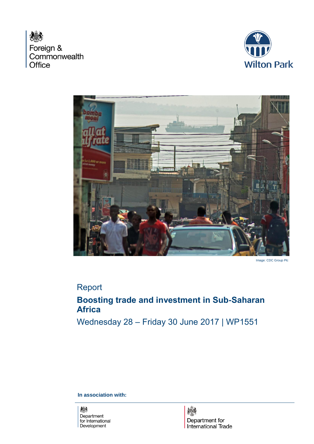横 Foreign & Commonwealth Office





Image: CDC Group Plc

# Report

# **Boosting trade and investment in Sub-Saharan Africa**

Wednesday 28 – Friday 30 June 2017 | WP1551

**In association with:**

燃 Department for International Development

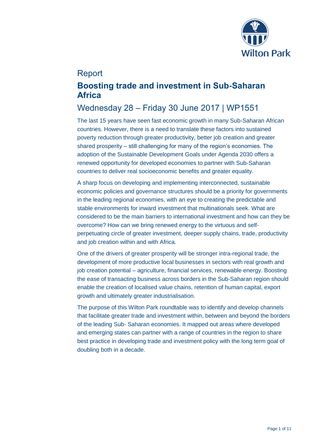

## Report

# **Boosting trade and investment in Sub-Saharan Africa**

## Wednesday 28 – Friday 30 June 2017 | WP1551

The last 15 years have seen fast economic growth in many Sub-Saharan African countries. However, there is a need to translate these factors into sustained poverty reduction through greater productivity, better job creation and greater shared prosperity – still challenging for many of the region's economies. The adoption of the Sustainable Development Goals under Agenda 2030 offers a renewed opportunity for developed economies to partner with Sub-Saharan countries to deliver real socioeconomic benefits and greater equality.

A sharp focus on developing and implementing interconnected, sustainable economic policies and governance structures should be a priority for governments in the leading regional economies, with an eye to creating the predictable and stable environments for inward investment that multinationals seek. What are considered to be the main barriers to international investment and how can they be overcome? How can we bring renewed energy to the virtuous and selfperpetuating circle of greater investment, deeper supply chains, trade, productivity and job creation within and with Africa.

One of the drivers of greater prosperity will be stronger intra-regional trade, the development of more productive local businesses in sectors with real growth and job creation potential – agriculture, financial services, renewable energy. Boosting the ease of transacting business across borders in the Sub-Saharan region should enable the creation of localised value chains, retention of human capital, export growth and ultimately greater industrialisation.

The purpose of this Wilton Park roundtable was to identify and develop channels that facilitate greater trade and investment within, between and beyond the borders of the leading Sub- Saharan economies. It mapped out areas where developed and emerging states can partner with a range of countries in the region to share best practice in developing trade and investment policy with the long term goal of doubling both in a decade.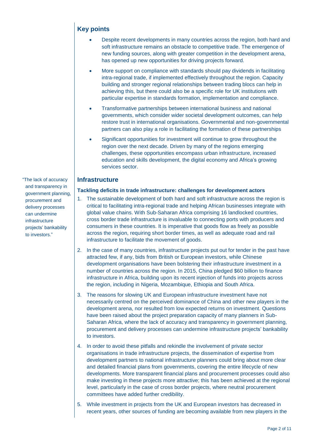## **Key points**

- Despite recent developments in many countries across the region, both hard and soft infrastructure remains an obstacle to competitive trade. The emergence of new funding sources, along with greater competition in the development arena, has opened up new opportunities for driving projects forward.
- More support on compliance with standards should pay dividends in facilitating intra-regional trade, if implemented effectively throughout the region. Capacity building and stronger regional relationships between trading blocs can help in achieving this, but there could also be a specific role for UK institutions with particular expertise in standards formation, implementation and compliance.
- Transformative partnerships between international business and national governments, which consider wider societal development outcomes, can help restore trust in international organisations. Governmental and non-governmental partners can also play a role in facilitating the formation of these partnerships
- Significant opportunities for investment will continue to grow throughout the region over the next decade. Driven by many of the regions emerging challenges, these opportunities encompass urban infrastructure, increased education and skills development, the digital economy and Africa's growing services sector.

## **Infrastructure**

#### **Tackling deficits in trade infrastructure: challenges for development actors**

- 1. The sustainable development of both hard and soft infrastructure across the region is critical to facilitating intra-regional trade and helping African businesses integrate with global value chains. With Sub-Saharan Africa comprising 16 landlocked countries, cross border trade infrastructure is invaluable to connecting ports with producers and consumers in these countries. It is imperative that goods flow as freely as possible across the region, requiring short border times, as well as adequate road and rail infrastructure to facilitate the movement of goods.
- 2. In the case of many countries, infrastructure projects put out for tender in the past have attracted few, if any, bids from British or European investors, while Chinese development organisations have been bolstering their infrastructure investment in a number of countries across the region. In 2015, China pledged \$60 billion to finance infrastructure in Africa, building upon its recent injection of funds into projects across the region, including in Nigeria, Mozambique, Ethiopia and South Africa.
- 3. The reasons for slowing UK and European infrastructure investment have not necessarily centred on the perceived dominance of China and other new players in the development arena, nor resulted from low expected returns on investment. Questions have been raised about the project preparation capacity of many planners in Sub-Saharan Africa, where the lack of accuracy and transparency in government planning, procurement and delivery processes can undermine infrastructure projects' bankability to investors.
- 4. In order to avoid these pitfalls and rekindle the involvement of private sector organisations in trade infrastructure projects, the dissemination of expertise from development partners to national infrastructure planners could bring about more clear and detailed financial plans from governments, covering the entire lifecycle of new developments. More transparent financial plans and procurement processes could also make investing in these projects more attractive; this has been achieved at the regional level, particularly in the case of cross border projects, where neutral procurement committees have added further credibility.
- 5. While investment in projects from the UK and European investors has decreased in recent years, other sources of funding are becoming available from new players in the

"The lack of accuracy and transparency in government planning, procurement and delivery processes can undermine infrastructure projects' bankability to investors."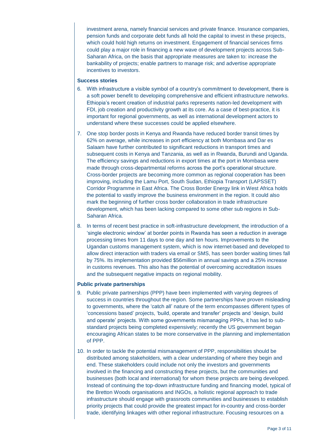investment arena, namely financial services and private finance. Insurance companies, pension funds and corporate debt funds all hold the capital to invest in these projects, which could hold high returns on investment. Engagement of financial services firms could play a major role in financing a new wave of development projects across Sub-Saharan Africa, on the basis that appropriate measures are taken to: increase the bankability of projects; enable partners to manage risk; and advertise appropriate incentives to investors.

#### **Success stories**

- 6. With infrastructure a visible symbol of a country's commitment to development, there is a soft power benefit to developing comprehensive and efficient infrastructure networks. Ethiopia's recent creation of industrial parks represents nation-led development with FDI, job creation and productivity growth at its core. As a case of best-practice, it is important for regional governments, as well as international development actors to understand where these successes could be applied elsewhere.
- 7. One stop border posts in Kenya and Rwanda have reduced border transit times by 62% on average, while increases in port efficiency at both Mombasa and Dar es Salaam have further contributed to significant reductions in transport times and subsequent costs in Kenya and Tanzania, as well as in Rwanda, Burundi and Uganda. The efficiency savings and reductions in export times at the port in Mombasa were made through cross-departmental reforms across the port's operational structure. Cross-border projects are becoming more common as regional cooperation has been improving, including the Lamu Port, South Sudan, Ethiopia Transport (LAPSSET) Corridor Programme in East Africa. The Cross Border Energy link in West Africa holds the potential to vastly improve the business environment in the region. It could also mark the beginning of further cross border collaboration in trade infrastructure development, which has been lacking compared to some other sub regions in Sub-Saharan Africa.
- 8. In terms of recent best practice in soft-infrastructure development, the introduction of a 'single electronic window' at border points in Rwanda has seen a reduction in average processing times from 11 days to one day and ten hours. Improvements to the Ugandan customs management system, which is now internet-based and developed to allow direct interaction with traders via email or SMS, has seen border waiting times fall by 75%. Its implementation provided \$56million in annual savings and a 25% increase in customs revenues. This also has the potential of overcoming accreditation issues and the subsequent negative impacts on regional mobility.

### **Public private partnerships**

- 9. Public private partnerships (PPP) have been implemented with varying degrees of success in countries throughout the region. Some partnerships have proven misleading to governments, where the 'catch all' nature of the term encompasses different types of 'concessions based' projects, 'build, operate and transfer' projects and 'design, build and operate' projects. With some governments mismanaging PPPs, it has led to substandard projects being completed expensively; recently the US government began encouraging African states to be more conservative in the planning and implementation of PPP.
- 10. In order to tackle the potential mismanagement of PPP, responsibilities should be distributed among stakeholders, with a clear understanding of where they begin and end. These stakeholders could include not only the investors and governments involved in the financing and constructing these projects, but the communities and businesses (both local and international) for whom these projects are being developed. Instead of continuing the top-down infrastructure funding and financing model, typical of the Bretton Woods organisations and INGOs, a holistic regional approach to trade infrastructure should engage with grassroots communities and businesses to establish priority projects that could provide the greatest impact for in-country and cross-border trade, identifying linkages with other regional infrastructure. Focusing resources on a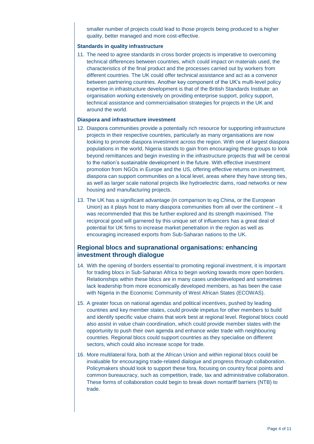smaller number of projects could lead to those projects being produced to a higher quality, better managed and more cost-effective.

#### **Standards in quality infrastructure**

11. The need to agree standards in cross border projects is imperative to overcoming technical differences between countries, which could impact on materials used, the characteristics of the final product and the processes carried out by workers from different countries. The UK could offer technical assistance and act as a convenor between partnering countries. Another key component of the UK's multi-level policy expertise in infrastructure development is that of the British Standards Institute: an organisation working extensively on providing enterprise support, policy support, technical assistance and commercialisation strategies for projects in the UK and around the world.

#### **Diaspora and infrastructure investment**

- 12. Diaspora communities provide a potentially rich resource for supporting infrastructure projects in their respective countries, particularly as many organisations are now looking to promote diaspora investment across the region. With one of largest diaspora populations in the world, Nigeria stands to gain from encouraging these groups to look beyond remittances and begin investing in the infrastructure projects that will be central to the nation's sustainable development in the future. With effective investment promotion from NGOs in Europe and the US, offering effective returns on investment, diaspora can support communities on a local level, areas where they have strong ties, as well as larger scale national projects like hydroelectric dams, road networks or new housing and manufacturing projects.
- 13. The UK has a significant advantage (in comparison to eg China, or the European Union) as it plays host to many diaspora communities from all over the continent – it was recommended that this be further explored and its strength maximised. The reciprocal good will garnered by this unique set of influencers has a great deal of potential for UK firms to increase market penetration in the region as well as encouraging increased exports from Sub-Saharan nations to the UK.

## **Regional blocs and supranational organisations: enhancing investment through dialogue**

- 14. With the opening of borders essential to promoting regional investment, it is important for trading blocs in Sub-Saharan Africa to begin working towards more open borders. Relationships within these blocs are in many cases underdeveloped and sometimes lack leadership from more economically developed members, as has been the case with Nigeria in the Economic Community of West African States (ECOWAS).
- 15. A greater focus on national agendas and political incentives, pushed by leading countries and key member states, could provide impetus for other members to build and identify specific value chains that work best at regional level. Regional blocs could also assist in value chain coordination, which could provide member states with the opportunity to push their own agenda and enhance wider trade with neighbouring countries. Regional blocs could support countries as they specialise on different sectors, which could also increase scope for trade.
- 16. More multilateral fora, both at the African Union and within regional blocs could be invaluable for encouraging trade-related dialogue and progress through collaboration. Policymakers should look to support these fora, focusing on country focal points and common bureaucracy, such as competition, trade, tax and administrative collaboration. These forms of collaboration could begin to break down nontariff barriers (NTB) to trade.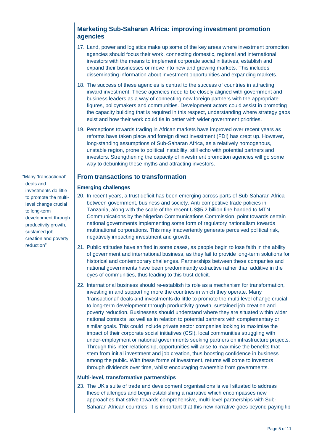## **Marketing Sub-Saharan Africa: improving investment promotion agencies**

- 17. Land, power and logistics make up some of the key areas where investment promotion agencies should focus their work, connecting domestic, regional and international investors with the means to implement corporate social initiatives, establish and expand their businesses or move into new and growing markets. This includes disseminating information about investment opportunities and expanding markets.
- 18. The success of these agencies is central to the success of countries in attracting inward investment. These agencies need to be closely aligned with government and business leaders as a way of connecting new foreign partners with the appropriate figures, policymakers and communities. Development actors could assist in promoting the capacity building that is required in this respect, understanding where strategy gaps exist and how their work could tie in better with wider government priorities.
- 19. Perceptions towards trading in African markets have improved over recent years as reforms have taken place and foreign direct investment (FDI) has crept up. However, long-standing assumptions of Sub-Saharan Africa, as a relatively homogenous, unstable region, prone to political instability, still echo with potential partners and investors. Strengthening the capacity of investment promotion agencies will go some way to debunking these myths and attracting investors.

## **From transactions to transformation**

#### **Emerging challenges**

- 20. In recent years, a trust deficit has been emerging across parts of Sub-Saharan Africa between government, business and society. Anti-competitive trade policies in Tanzania, along with the scale of the recent US\$5.2 billion fine handed to MTN Communications by the Nigerian Communications Commission, point towards certain national governments implementing some form of regulatory nationalism towards multinational corporations. This may inadvertently generate perceived political risk, negatively impacting investment and growth.
- 21. Public attitudes have shifted in some cases, as people begin to lose faith in the ability of government and international business, as they fail to provide long-term solutions for historical and contemporary challenges. Partnerships between these companies and national governments have been predominantly extractive rather than additive in the eyes of communities, thus leading to this trust deficit.
- 22. International business should re-establish its role as a mechanism for transformation, investing in and supporting more the countries in which they operate. Many 'transactional' deals and investments do little to promote the multi-level change crucial to long-term development through productivity growth, sustained job creation and poverty reduction. Businesses should understand where they are situated within wider national contexts, as well as in relation to potential partners with complementary or similar goals. This could include private sector companies looking to maximise the impact of their corporate social initiatives (CSI), local communities struggling with under-employment or national governments seeking partners on infrastructure projects. Through this inter-relationship, opportunities will arise to maximise the benefits that stem from initial investment and job creation, thus boosting confidence in business among the public. With these forms of investment, returns will come to investors through dividends over time, whilst encouraging ownership from governments.

#### **Multi-level, transformative partnerships**

23. The UK's suite of trade and development organisations is well situated to address these challenges and begin establishing a narrative which encompasses new approaches that strive towards comprehensive, multi-level partnerships with Sub-Saharan African countries. It is important that this new narrative goes beyond paying lip

"Many 'transactional' deals and investments do little to promote the multilevel change crucial to long-term development through productivity growth, sustained job creation and poverty reduction"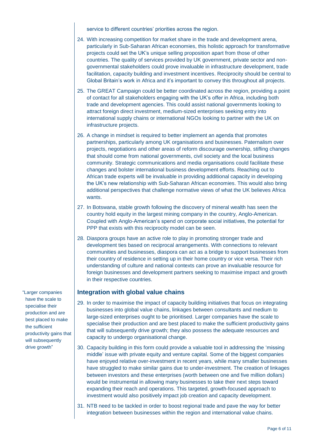service to different countries' priorities across the region.

- 24. With increasing competition for market share in the trade and development arena, particularly in Sub-Saharan African economies, this holistic approach for transformative projects could set the UK's unique selling proposition apart from those of other countries. The quality of services provided by UK government, private sector and nongovernmental stakeholders could prove invaluable in infrastructure development, trade facilitation, capacity building and investment incentives. Reciprocity should be central to Global Britain's work in Africa and it's important to convey this throughout all projects.
- 25. The GREAT Campaign could be better coordinated across the region, providing a point of contact for all stakeholders engaging with the UK's offer in Africa, including both trade and development agencies. This could assist national governments looking to attract foreign direct investment, medium-sized enterprises seeking entry into international supply chains or international NGOs looking to partner with the UK on infrastructure projects.
- 26. A change in mindset is required to better implement an agenda that promotes partnerships, particularly among UK organisations and businesses. Paternalism over projects, negotiations and other areas of reform discourage ownership, stifling changes that should come from national governments, civil society and the local business community. Strategic communications and media organisations could facilitate these changes and bolster international business development efforts. Reaching out to African trade experts will be invaluable in providing additional capacity in developing the UK's new relationship with Sub-Saharan African economies. This would also bring additional perspectives that challenge normative views of what the UK believes Africa wants.
- 27. In Botswana, stable growth following the discovery of mineral wealth has seen the country hold equity in the largest mining company in the country, Anglo-American. Coupled with Anglo-American's spend on corporate social initiatives, the potential for PPP that exists with this reciprocity model can be seen.
- 28. Diaspora groups have an active role to play in promoting stronger trade and development ties based on reciprocal arrangements. With connections to relevant communities and businesses, diaspora can act as a bridge to support businesses from their country of residence in setting up in their home country or vice versa. Their rich understanding of culture and national contexts can prove an invaluable resource for foreign businesses and development partners seeking to maximise impact and growth in their respective countries.

### **Integration with global value chains**

- 29. In order to maximise the impact of capacity building initiatives that focus on integrating businesses into global value chains, linkages between consultants and medium to large-sized enterprises ought to be prioritised. Larger companies have the scale to specialise their production and are best placed to make the sufficient productivity gains that will subsequently drive growth; they also possess the adequate resources and capacity to undergo organisational change.
- 30. Capacity building in this form could provide a valuable tool in addressing the 'missing middle' issue with private equity and venture capital. Some of the biggest companies have enjoyed relative over-investment in recent years, while many smaller businesses have struggled to make similar gains due to under-investment. The creation of linkages between investors and these enterprises (worth between one and five million dollars) would be instrumental in allowing many businesses to take their next steps toward expanding their reach and operations. This targeted, growth-focused approach to investment would also positively impact job creation and capacity development.
- 31. NTB need to be tackled in order to boost regional trade and pave the way for better integration between businesses within the region and international value chains.

"Larger companies have the scale to specialise their production and are best placed to make the sufficient productivity gains that will subsequently drive growth"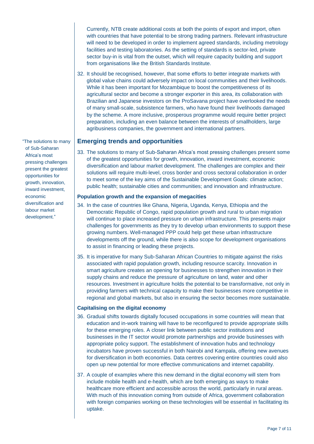Currently, NTB create additional costs at both the points of export and import, often with countries that have potential to be strong trading partners. Relevant infrastructure will need to be developed in order to implement agreed standards, including metrology facilities and testing laboratories. As the setting of standards is sector-led, private sector buy-in is vital from the outset, which will require capacity building and support from organisations like the British Standards Institute.

32. It should be recognised, however, that some efforts to better integrate markets with global value chains could adversely impact on local communities and their livelihoods. While it has been important for Mozambique to boost the competitiveness of its agricultural sector and become a stronger exporter in this area, its collaboration with Brazilian and Japanese investors on the ProSavana project have overlooked the needs of many small-scale, subsistence farmers, who have found their livelihoods damaged by the scheme. A more inclusive, prosperous programme would require better project preparation, including an even balance between the interests of smallholders, large agribusiness companies, the government and international partners.

### **Emerging trends and opportunities**

33. The solutions to many of Sub-Saharan Africa's most pressing challenges present some of the greatest opportunities for growth, innovation, inward investment, economic diversification and labour market development. The challenges are complex and their solutions will require multi-level, cross border and cross sectoral collaboration in order to meet some of the key aims of the Sustainable Development Goals: climate action; public health; sustainable cities and communities; and innovation and infrastructure.

#### **Population growth and the expansion of megacities**

- 34. In the case of countries like Ghana, Nigeria, Uganda, Kenya, Ethiopia and the Democratic Republic of Congo, rapid population growth and rural to urban migration will continue to place increased pressure on urban infrastructure. This presents major challenges for governments as they try to develop urban environments to support these growing numbers. Well-managed PPP could help get these urban infrastructure developments off the ground, while there is also scope for development organisations to assist in financing or leading these projects.
- 35. It is imperative for many Sub-Saharan African Countries to mitigate against the risks associated with rapid population growth, including resource scarcity. Innovation in smart agriculture creates an opening for businesses to strengthen innovation in their supply chains and reduce the pressure of agriculture on land, water and other resources. Investment in agriculture holds the potential to be transformative, not only in providing farmers with technical capacity to make their businesses more competitive in regional and global markets, but also in ensuring the sector becomes more sustainable.

#### **Capitalising on the digital economy**

- 36. Gradual shifts towards digitally focused occupations in some countries will mean that education and in-work training will have to be reconfigured to provide appropriate skills for these emerging roles. A closer link between public sector institutions and businesses in the IT sector would promote partnerships and provide businesses with appropriate policy support. The establishment of innovation hubs and technology incubators have proven successful in both Nairobi and Kampala, offering new avenues for diversification in both economies. Data centres covering entire countries could also open up new potential for more effective communications and internet capability.
- 37. A couple of examples where this new demand in the digital economy will stem from include mobile health and e-health, which are both emerging as ways to make healthcare more efficient and accessible across the world, particularly in rural areas. With much of this innovation coming from outside of Africa, government collaboration with foreign companies working on these technologies will be essential in facilitating its uptake.

"The solutions to many of Sub-Saharan Africa's most pressing challenges present the greatest opportunities for growth, innovation, inward investment, economic diversification and labour market development."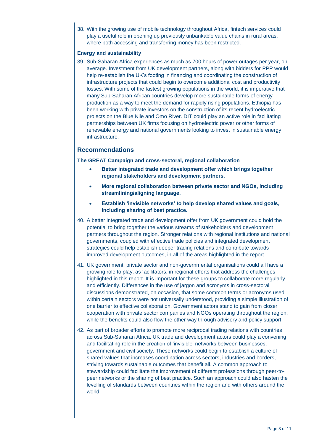38. With the growing use of mobile technology throughout Africa, fintech services could play a useful role in opening up previously unbankable value chains in rural areas, where both accessing and transferring money has been restricted.

#### **Energy and sustainability**

39. Sub-Saharan Africa experiences as much as 700 hours of power outages per year, on average. Investment from UK development partners, along with bidders for PPP would help re-establish the UK's footing in financing and coordinating the construction of infrastructure projects that could begin to overcome additional cost and productivity losses. With some of the fastest growing populations in the world, it is imperative that many Sub-Saharan African countries develop more sustainable forms of energy production as a way to meet the demand for rapidly rising populations. Ethiopia has been working with private investors on the construction of its recent hydroelectric projects on the Blue Nile and Omo River. DIT could play an active role in facilitating partnerships between UK firms focusing on hydroelectric power or other forms of renewable energy and national governments looking to invest in sustainable energy infrastructure.

## **Recommendations**

**The GREAT Campaign and cross-sectoral, regional collaboration**

- **Better integrated trade and development offer which brings together regional stakeholders and development partners.**
- **More regional collaboration between private sector and NGOs, including streamlining/aligning language.**
- **Establish 'invisible networks' to help develop shared values and goals, including sharing of best practice.**
- 40. A better integrated trade and development offer from UK government could hold the potential to bring together the various streams of stakeholders and development partners throughout the region. Stronger relations with regional institutions and national governments, coupled with effective trade policies and integrated development strategies could help establish deeper trading relations and contribute towards improved development outcomes, in all of the areas highlighted in the report.
- 41. UK government, private sector and non-governmental organisations could all have a growing role to play, as facilitators, in regional efforts that address the challenges highlighted in this report. It is important for these groups to collaborate more regularly and efficiently. Differences in the use of jargon and acronyms in cross-sectoral discussions demonstrated, on occasion, that some common terms or acronyms used within certain sectors were not universally understood, providing a simple illustration of one barrier to effective collaboration. Government actors stand to gain from closer cooperation with private sector companies and NGOs operating throughout the region, while the benefits could also flow the other way through advisory and policy support.
- 42. As part of broader efforts to promote more reciprocal trading relations with countries across Sub-Saharan Africa, UK trade and development actors could play a convening and facilitating role in the creation of 'invisible' networks between businesses, government and civil society. These networks could begin to establish a culture of shared values that increases coordination across sectors, industries and borders, striving towards sustainable outcomes that benefit all. A common approach to stewardship could facilitate the improvement of different professions through peer-topeer networks or the sharing of best practice. Such an approach could also hasten the levelling of standards between countries within the region and with others around the world.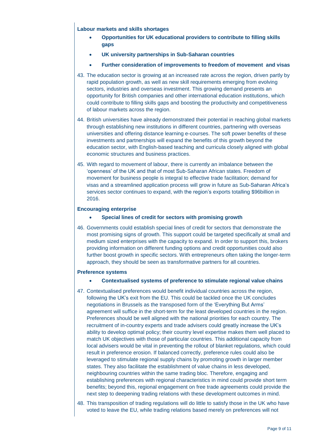**Labour markets and skills shortages**

- **Opportunities for UK educational providers to contribute to filling skills gaps**
- **UK university partnerships in Sub-Saharan countries**
- **Further consideration of improvements to freedom of movement and visas**
- 43. The education sector is growing at an increased rate across the region, driven partly by rapid population growth, as well as new skill requirements emerging from evolving sectors, industries and overseas investment. This growing demand presents an opportunity for British companies and other international education institutions, which could contribute to filling skills gaps and boosting the productivity and competitiveness of labour markets across the region.
- 44. British universities have already demonstrated their potential in reaching global markets through establishing new institutions in different countries, partnering with overseas universities and offering distance learning e-courses. The soft power benefits of these investments and partnerships will expand the benefits of this growth beyond the education sector, with English-based teaching and curricula closely aligned with global economic structures and business practices.
- 45. With regard to movement of labour, there is currently an imbalance between the 'openness' of the UK and that of most Sub-Saharan African states. Freedom of movement for business people is integral to effective trade facilitation; demand for visas and a streamlined application process will grow in future as Sub-Saharan Africa's services sector continues to expand, with the region's exports totalling \$96billion in 2016.

#### **Encouraging enterprise**

- **Special lines of credit for sectors with promising growth**
- 46. Governments could establish special lines of credit for sectors that demonstrate the most promising signs of growth. This support could be targeted specifically at small and medium sized enterprises with the capacity to expand. In order to support this, brokers providing information on different funding options and credit opportunities could also further boost growth in specific sectors. With entrepreneurs often taking the longer-term approach, they should be seen as transformative partners for all countries.

#### **Preference systems**

- **Contextualised systems of preference to stimulate regional value chains**
- 47. Contextualised preferences would benefit individual countries across the region, following the UK's exit from the EU. This could be tackled once the UK concludes negotiations in Brussels as the transposed form of the 'Everything But Arms' agreement will suffice in the short-term for the least developed countries in the region. Preferences should be well aligned with the national priorities for each country. The recruitment of in-country experts and trade advisers could greatly increase the UK's ability to develop optimal policy; their country level expertise makes them well placed to match UK objectives with those of particular countries. This additional capacity from local advisers would be vital in preventing the rollout of blanket regulations, which could result in preference erosion. If balanced correctly, preference rules could also be leveraged to stimulate regional supply chains by promoting growth in larger member states. They also facilitate the establishment of value chains in less developed, neighbouring countries within the same trading bloc. Therefore, engaging and establishing preferences with regional characteristics in mind could provide short term benefits; beyond this, regional engagement on free trade agreements could provide the next step to deepening trading relations with these development outcomes in mind.
- 48. This transposition of trading regulations will do little to satisfy those in the UK who have voted to leave the EU, while trading relations based merely on preferences will not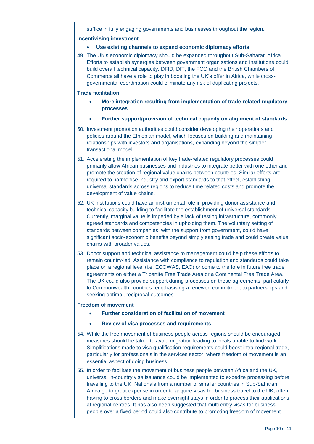suffice in fully engaging governments and businesses throughout the region.

#### **Incentivising investment**

- **Use existing channels to expand economic diplomacy efforts**
- 49. The UK's economic diplomacy should be expanded throughout Sub-Saharan Africa. Efforts to establish synergies between government organisations and institutions could build overall technical capacity. DFID, DIT, the FCO and the British Chambers of Commerce all have a role to play in boosting the UK's offer in Africa, while crossgovernmental coordination could eliminate any risk of duplicating projects.

#### **Trade facilitation**

- **More integration resulting from implementation of trade-related regulatory processes**
- **Further support/provision of technical capacity on alignment of standards**
- 50. Investment promotion authorities could consider developing their operations and policies around the Ethiopian model, which focuses on building and maintaining relationships with investors and organisations, expanding beyond the simpler transactional model.
- 51. Accelerating the implementation of key trade-related regulatory processes could primarily allow African businesses and industries to integrate better with one other and promote the creation of regional value chains between countries. Similar efforts are required to harmonise industry and export standards to that effect, establishing universal standards across regions to reduce time related costs and promote the development of value chains.
- 52. UK institutions could have an instrumental role in providing donor assistance and technical capacity building to facilitate the establishment of universal standards. Currently, marginal value is impeded by a lack of testing infrastructure, commonly agreed standards and competencies in upholding them. The voluntary setting of standards between companies, with the support from government, could have significant socio-economic benefits beyond simply easing trade and could create value chains with broader values.
- 53. Donor support and technical assistance to management could help these efforts to remain country-led. Assistance with compliance to regulation and standards could take place on a regional level (i.e. ECOWAS, EAC) or come to the fore in future free trade agreements on either a Tripartite Free Trade Area or a Continental Free Trade Area. The UK could also provide support during processes on these agreements, particularly to Commonwealth countries, emphasising a renewed commitment to partnerships and seeking optimal, reciprocal outcomes.

#### **Freedom of movement**

- **Further consideration of facilitation of movement**
- **Review of visa processes and requirements**
- 54. While the free movement of business people across regions should be encouraged, measures should be taken to avoid migration leading to locals unable to find work. Simplifications made to visa qualification requirements could boost intra-regional trade, particularly for professionals in the services sector, where freedom of movement is an essential aspect of doing business.
- 55. In order to facilitate the movement of business people between Africa and the UK, universal in-country visa issuance could be implemented to expedite processing before travelling to the UK. Nationals from a number of smaller countries in Sub-Saharan Africa go to great expense in order to acquire visas for business travel to the UK, often having to cross borders and make overnight stays in order to process their applications at regional centres. It has also been suggested that multi entry visas for business people over a fixed period could also contribute to promoting freedom of movement.